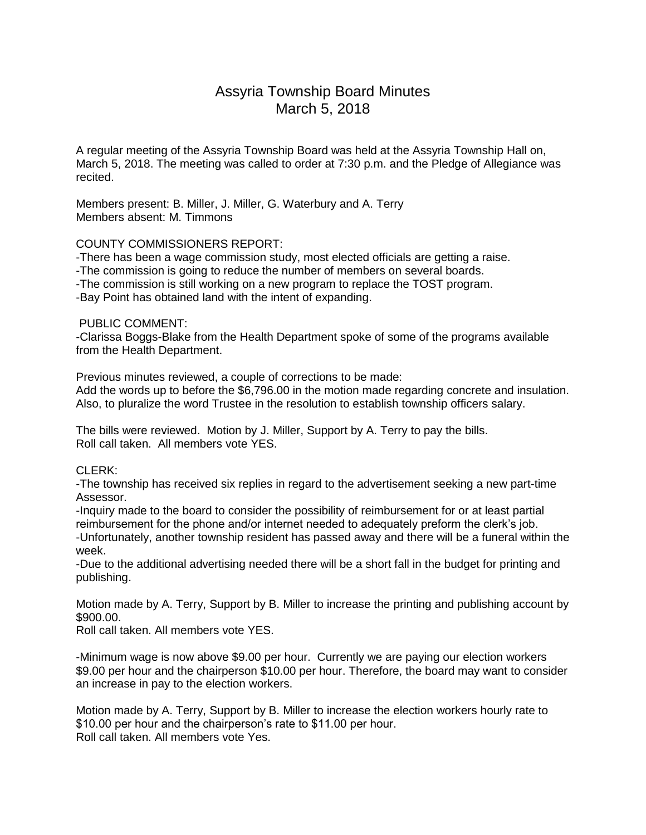# Assyria Township Board Minutes March 5, 2018

A regular meeting of the Assyria Township Board was held at the Assyria Township Hall on, March 5, 2018. The meeting was called to order at 7:30 p.m. and the Pledge of Allegiance was recited.

Members present: B. Miller, J. Miller, G. Waterbury and A. Terry Members absent: M. Timmons

## COUNTY COMMISSIONERS REPORT:

-There has been a wage commission study, most elected officials are getting a raise. -The commission is going to reduce the number of members on several boards. -The commission is still working on a new program to replace the TOST program. -Bay Point has obtained land with the intent of expanding.

#### PUBLIC COMMENT:

-Clarissa Boggs-Blake from the Health Department spoke of some of the programs available from the Health Department.

Previous minutes reviewed, a couple of corrections to be made: Add the words up to before the \$6,796.00 in the motion made regarding concrete and insulation. Also, to pluralize the word Trustee in the resolution to establish township officers salary.

The bills were reviewed. Motion by J. Miller, Support by A. Terry to pay the bills. Roll call taken. All members vote YES.

# CLERK:

-The township has received six replies in regard to the advertisement seeking a new part-time Assessor.

-Inquiry made to the board to consider the possibility of reimbursement for or at least partial reimbursement for the phone and/or internet needed to adequately preform the clerk's job. -Unfortunately, another township resident has passed away and there will be a funeral within the week.

-Due to the additional advertising needed there will be a short fall in the budget for printing and publishing.

Motion made by A. Terry, Support by B. Miller to increase the printing and publishing account by \$900.00.

Roll call taken. All members vote YES.

-Minimum wage is now above \$9.00 per hour. Currently we are paying our election workers \$9.00 per hour and the chairperson \$10.00 per hour. Therefore, the board may want to consider an increase in pay to the election workers.

Motion made by A. Terry, Support by B. Miller to increase the election workers hourly rate to \$10.00 per hour and the chairperson's rate to \$11.00 per hour. Roll call taken. All members vote Yes.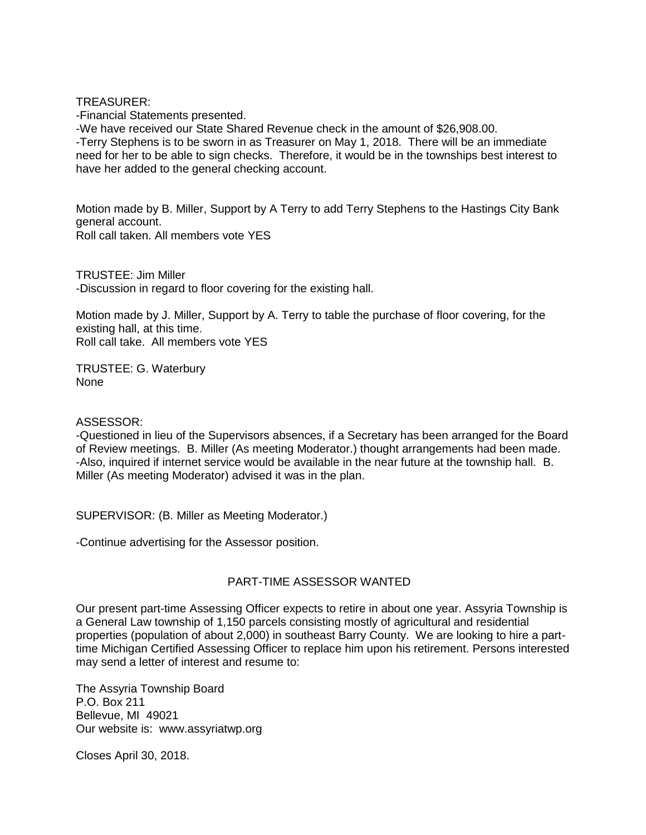TREASURER:

-Financial Statements presented.

-We have received our State Shared Revenue check in the amount of \$26,908.00. -Terry Stephens is to be sworn in as Treasurer on May 1, 2018. There will be an immediate need for her to be able to sign checks. Therefore, it would be in the townships best interest to have her added to the general checking account.

Motion made by B. Miller, Support by A Terry to add Terry Stephens to the Hastings City Bank general account. Roll call taken. All members vote YES

TRUSTEE: Jim Miller -Discussion in regard to floor covering for the existing hall.

Motion made by J. Miller, Support by A. Terry to table the purchase of floor covering, for the existing hall, at this time. Roll call take. All members vote YES

TRUSTEE: G. Waterbury None

ASSESSOR:

-Questioned in lieu of the Supervisors absences, if a Secretary has been arranged for the Board of Review meetings. B. Miller (As meeting Moderator.) thought arrangements had been made. -Also, inquired if internet service would be available in the near future at the township hall. B. Miller (As meeting Moderator) advised it was in the plan.

SUPERVISOR: (B. Miller as Meeting Moderator.)

-Continue advertising for the Assessor position.

# PART-TIME ASSESSOR WANTED

Our present part-time Assessing Officer expects to retire in about one year. Assyria Township is a General Law township of 1,150 parcels consisting mostly of agricultural and residential properties (population of about 2,000) in southeast Barry County. We are looking to hire a parttime Michigan Certified Assessing Officer to replace him upon his retirement. Persons interested may send a letter of interest and resume to:

The Assyria Township Board P.O. Box 211 Bellevue, MI 49021 Our website is: www.assyriatwp.org

Closes April 30, 2018.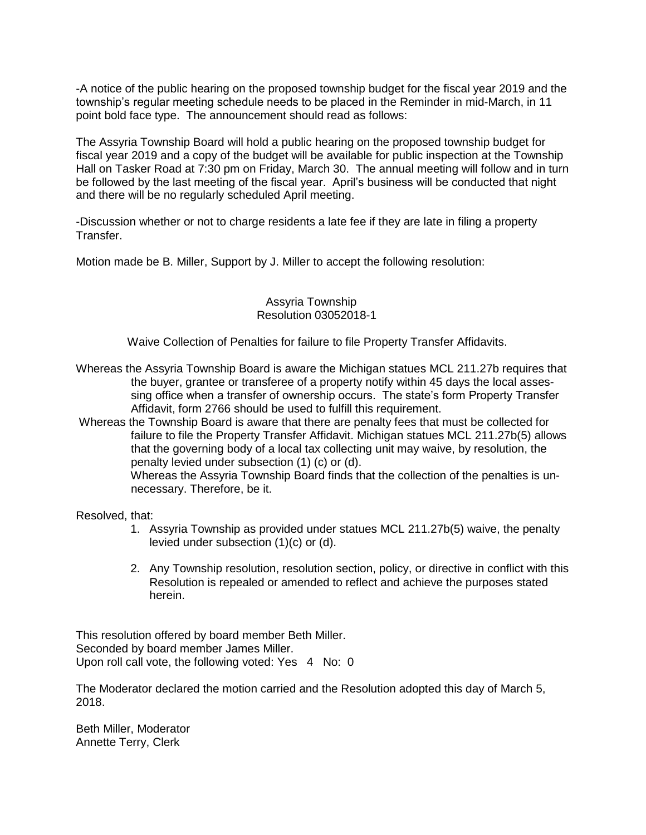-A notice of the public hearing on the proposed township budget for the fiscal year 2019 and the township's regular meeting schedule needs to be placed in the Reminder in mid-March, in 11 point bold face type. The announcement should read as follows:

The Assyria Township Board will hold a public hearing on the proposed township budget for fiscal year 2019 and a copy of the budget will be available for public inspection at the Township Hall on Tasker Road at 7:30 pm on Friday, March 30. The annual meeting will follow and in turn be followed by the last meeting of the fiscal year. April's business will be conducted that night and there will be no regularly scheduled April meeting.

-Discussion whether or not to charge residents a late fee if they are late in filing a property Transfer.

Motion made be B. Miller, Support by J. Miller to accept the following resolution:

#### Assyria Township Resolution 03052018-1

Waive Collection of Penalties for failure to file Property Transfer Affidavits.

Whereas the Assyria Township Board is aware the Michigan statues MCL 211.27b requires that the buyer, grantee or transferee of a property notify within 45 days the local asses sing office when a transfer of ownership occurs. The state's form Property Transfer Affidavit, form 2766 should be used to fulfill this requirement.

Whereas the Township Board is aware that there are penalty fees that must be collected for failure to file the Property Transfer Affidavit. Michigan statues MCL 211.27b(5) allows that the governing body of a local tax collecting unit may waive, by resolution, the penalty levied under subsection (1) (c) or (d).

 Whereas the Assyria Township Board finds that the collection of the penalties is un necessary. Therefore, be it.

Resolved, that:

- 1. Assyria Township as provided under statues MCL 211.27b(5) waive, the penalty levied under subsection (1)(c) or (d).
- 2. Any Township resolution, resolution section, policy, or directive in conflict with this Resolution is repealed or amended to reflect and achieve the purposes stated herein.

This resolution offered by board member Beth Miller. Seconded by board member James Miller. Upon roll call vote, the following voted: Yes 4 No: 0

The Moderator declared the motion carried and the Resolution adopted this day of March 5, 2018.

Beth Miller, Moderator Annette Terry, Clerk